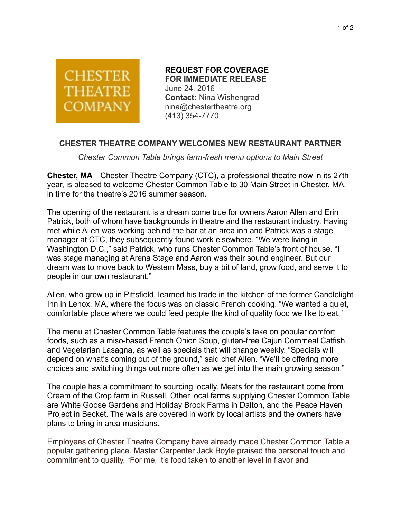

 **REQUEST FOR COVERAGE FOR IMMEDIATE RELEASE** June 24, 2016 **Contact:** Nina Wishengrad nina@chestertheatre.org (413) 354-7770

## **CHESTER THEATRE COMPANY WELCOMES NEW RESTAURANT PARTNER**

*Chester Common Table brings farm-fresh menu options to Main Street* 

**Chester, MA**—Chester Theatre Company (CTC), a professional theatre now in its 27th year, is pleased to welcome Chester Common Table to 30 Main Street in Chester, MA, in time for the theatre's 2016 summer season.

The opening of the restaurant is a dream come true for owners Aaron Allen and Erin Patrick, both of whom have backgrounds in theatre and the restaurant industry. Having met while Allen was working behind the bar at an area inn and Patrick was a stage manager at CTC, they subsequently found work elsewhere. "We were living in Washington D.C.," said Patrick, who runs Chester Common Table's front of house. "I was stage managing at Arena Stage and Aaron was their sound engineer. But our dream was to move back to Western Mass, buy a bit of land, grow food, and serve it to people in our own restaurant."

Allen, who grew up in Pittsfield, learned his trade in the kitchen of the former Candlelight Inn in Lenox, MA, where the focus was on classic French cooking. "We wanted a quiet, comfortable place where we could feed people the kind of quality food we like to eat."

The menu at Chester Common Table features the couple's take on popular comfort foods, such as a miso-based French Onion Soup, gluten-free Cajun Cornmeal Catfish, and Vegetarian Lasagna, as well as specials that will change weekly. "Specials will depend on what's coming out of the ground," said chef Allen. "We'll be offering more choices and switching things out more often as we get into the main growing season."

The couple has a commitment to sourcing locally. Meats for the restaurant come from Cream of the Crop farm in Russell. Other local farms supplying Chester Common Table are White Goose Gardens and Holiday Brook Farms in Dalton, and the Peace Haven Project in Becket. The walls are covered in work by local artists and the owners have plans to bring in area musicians.

Employees of Chester Theatre Company have already made Chester Common Table a popular gathering place. Master Carpenter Jack Boyle praised the personal touch and commitment to quality. "For me, it's food taken to another level in flavor and